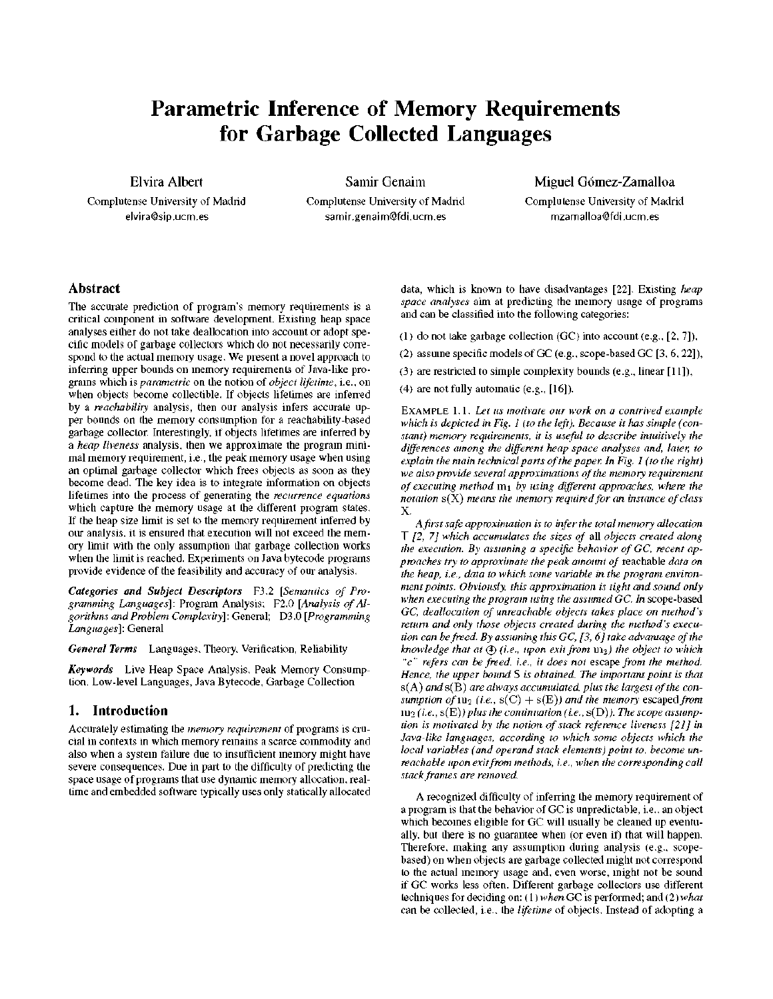# Parametric Inference of Memory Requirements for Garbage Collected Languages

Complutense University of Madrid Complutense University of Madrid Complutense University of Madrid [elvira@sip.ucm.es](mailto:elvira@sip.ucm.es) [samir.genaim@fdi.ucm.es](mailto:samir.genaim@fdi.ucm.es) [mzamalloa@fdi.ucm.es](mailto:mzamalloa@fdi.ucm.es)

Elvira Albert Samir Genaim Miguel Gómez-Zamalloa

# **Abstract**

The accurate prediction of program's memory requirements is a critical component in software development. Existing heap space analyses either do not take deallocation into account or adopt specific models of garbage collectors which do not necessarily correspond to the actual memory usage. We present a novel approach to inferring upper bounds on memory requirements of Java-like programs which *is parametric* on the notion of *object lifetime,* i.e., on when objects become collectible. If objects lifetimes are inferred by a *reachability* analysis, then our analysis infers accurate upper bounds on the memory consumption for a reachability-based garbage collector. Interestingly, if objects lifetimes are inferred by a *heap liveness* analysis, then we approximate the program minimal memory requirement, i.e., the peak memory usage when using an optimal garbage collector which frees objects as soon as they become dead. The key idea is to integrate information on objects lifetimes into the process of generating the *recurrence equations*  which capture the memory usage at the different program states. If the heap size limit is set to the memory requirement inferred by our analysis, it is ensured that execution will not exceed the memory limit with the only assumption that garbage collection works when the limit is reached. Experiments on Java bytecode programs provide evidence of the feasibility and accuracy of our analysis.

*Categories and Subject Descriptors* F3.2 *[Semantics of Programming Languages]:* Program Analysis; F2.0 *[Analysis of Algorithms and Problem Complexity]:* General; D3.0 *[Programming Languages]:* General

*General Terms* Languages, Theory, Verification, Reliability

*Keywords* Live Heap Space Analysis, Peak Memory Consumption, Low-level Languages, Java Bytecode, Garbage Collection

## **1. Introduction**

Accurately estimating the *memory requirement* of programs is crucial in contexts in which memory remains a scarce commodity and also when a system failure due to insufficient memory might have severe consequences. Due in part to the difficulty of predicting the space usage of programs that use dynamic memory allocation, realtime and embedded software typically uses only statically allocated data, which is known to have disadvantages [22], Existing *heap space analyses* aim at predicting the memory usage of programs and can be classified into the following categories:

(1) do not take garbage collection (GC) into account (e.g., [2, 7]),

(2) assume specific models of GC (e.g., scope-based GC [3, 6, 22]),

(3) are restricted to simple complexity bounds (e.g., linear [11]),

(4) are not fully automatic (e.g., [16]).

EXAMPLE 1.1. *Let us motivate our work on a contrived example which is depicted in Fig. 1 (to the left). Because it has simple (constant) memory requirements, it is useful to describe intuitively the differences among the different heap space analyses and, later, to explain the main technical parts of the paper. In Fig. 1 (to the right) we also provide several approximations of the memory requirement of executing method* mi *by using different approaches, where the notation* s(X) *means the memory required for an instance of class*  X.

*A first safe approximation is to infer the total memory allocation*  T *[2, 7] which accumulates the sizes of* all *objects created along the execution. By assuming a specific behavior of GC, recent approaches try to approximate the peak amount of* reachable *data on the heap, i.e., data to which some variable in the program environment points. Obviously, this approximation is tight and sound only when executing the program using the assumed GC. In* scope-based *GC, deallocation of unreachable objects takes place on method's return and only those objects created during the method's execution can be freed. By assuming this GC, [3, 6] take advantage of the knowledge that at* @ *(i.e., upon exit from* 1112) *the object to which "c" refers can be freed, i.e., it does not* escape *from the method. Hence, the upper bound* S *is obtained. The important point is that*  s(A) *and* s(B) *are always accumulated, plus the largest of the consumption of 1x<sub>2</sub> (i.e.,* s(C) + s(E)) and the memory escaped from  $ru_2$  (*i.e.*,  $s(E)$ *) plus the continuation (i.e.,*  $s(D)$ *). The scope assumption is motivated by the notion of stack reference liveness [21] in Java-like languages, according to which some objects which the local variables (and operand stack elements) point to, become unreachable upon exit from methods, i.e., when the corresponding call stack frames are removed.* 

A recognized difficulty of inferring the memory requirement of a program is that the behavior of GC is unpredictable, i.e., an object which becomes eligible for GC will usually be cleaned up eventually, but there is no guarantee when (or even if) that will happen. Therefore, making any assumption during analysis (e.g., scopebased) on when objects are garbage collected might not correspond to the actual memory usage and, even worse, might not be sound if GC works less often. Different garbage collectors use different techniques for deciding on: (1) *when* GC is performed; and (2) *what*  can be collected, i.e., the *lifetime* of objects. Instead of adopting a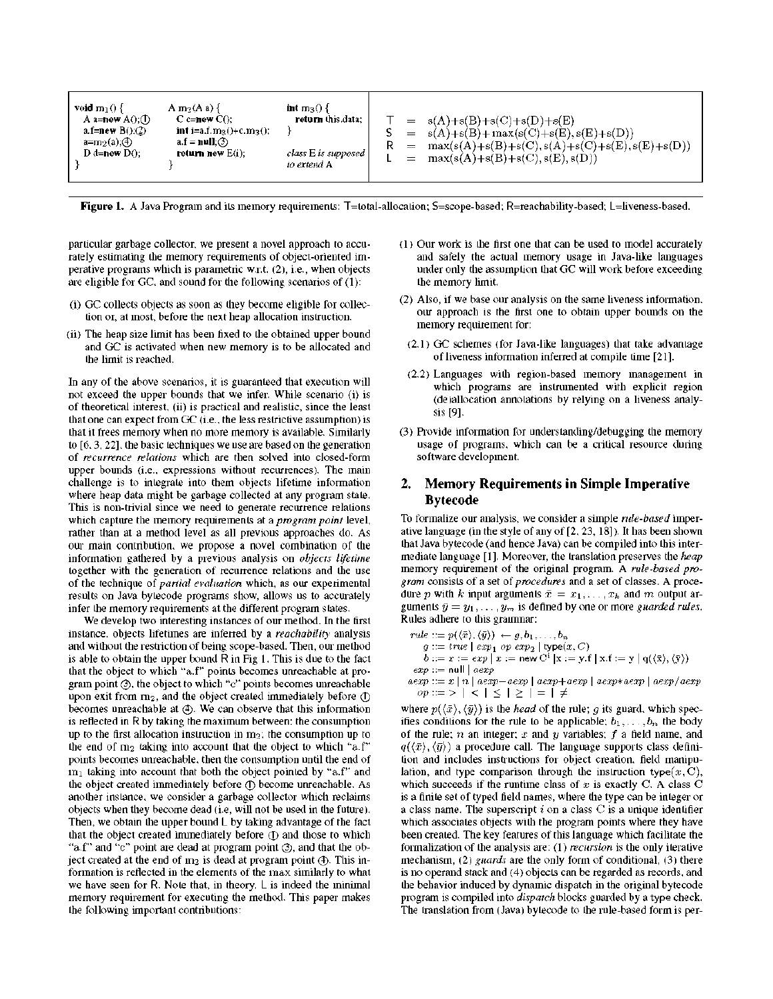| void $m_1()$ {<br>A a=new $A()$ ; $(I)$<br>a.f=new $B(.)$ : $(2)$<br>$a = m_2(a)$ ; $(b)$<br>D d=new $D()$ : | A m <sub>2</sub> $(Aa)$ {<br>$C \subset \text{new } C()$ :<br>int i= $a.f.m_3()$ + $c.m_3()$ ;<br>$a.f = null(3)$<br>return new $E(i)$ ; | int $\text{m}_3$ () {<br>return this.data:<br>class E is supposed $ $<br>to extend A | $s(A)+s(B)+s(C)+s(D)+s(E)$<br>$s(A) + s(B) + max(s(C) + s(E), s(E) + s(D))$<br>$max(s(A)+s(B)+s(C), s(A)+s(C)+s(E), s(E)+s(D))$<br>$max(s(A)+s(B)+s(C), s(E), s(D))$ |
|--------------------------------------------------------------------------------------------------------------|------------------------------------------------------------------------------------------------------------------------------------------|--------------------------------------------------------------------------------------|----------------------------------------------------------------------------------------------------------------------------------------------------------------------|
|--------------------------------------------------------------------------------------------------------------|------------------------------------------------------------------------------------------------------------------------------------------|--------------------------------------------------------------------------------------|----------------------------------------------------------------------------------------------------------------------------------------------------------------------|

Figure 1. A Java Program and its memory requirements: T=total-allocation; S=scope-based; R=reachability-based; L=liveness-based.

particular garbage collector, we present a novel approach to accurately estimating the memory requirements of object-oriented imperative programs which is parametric w.r.t. (2), i.e., when objects are eligible for GC, and sound for the following scenarios of (1):

- (i) GC collects objects as soon as they become eligible for collection or, at most, before the next heap allocation instruction.
- (ii) The heap size limit has been fixed to the obtained upper bound and GC is activated when new memory is to be allocated and the limit is reached.

In any of the above scenarios, it is guaranteed that execution will not exceed the upper bounds that we infer. While scenario (i) is of theoretical interest, (ii) is practical and realistic, since the least that one can expect from GC (i.e., the less restrictive assumption) is that it frees memory when no more memory is available. Similarly to [6, 3, 22], the basic techniques we use are based on the generation of recurrence relations which are then solved into closed-form upper bounds (i.e., expressions without recurrences). The main challenge is to integrate into them objects lifetime information where heap data might be garbage collected at any program state. This is non-trivial since we need to generate recurrence relations which capture the memory requirements at a *program point* level, rather than at a method level as all previous approaches do. As our main contribution, we propose a novel combination of the information gathered by a previous analysis on objects lifetime together with the generation of recurrence relations and the use of the technique of *partial evaluation* which, as our experimental results on Java bytecode programs show, allows us to accurately infer the memory requirements at the different program states.

We develop two interesting instances of our method. In the first instance, objects lifetimes are inferred by a reachability analysis and without the restriction of being scope-based. Then, our method is able to obtain the upper bound R in Fig 1. This is due to the fact that the object to which "a.f" points becomes unreachable at program point (3), the object to which "c" points becomes unreachable upon exit from  $m_2$ , and the object created immediately before  $(1)$ becomes unreachable at (J). We can observe that this information is reflected in R by taking the maximum between: the consumption up to the first allocation instruction in  $m_2$ ; the consumption up to the end of  $m_2$  taking into account that the object to which "a.f" points becomes unreachable, then the consumption until the end of  $m_1$  taking into account that both the object pointed by "a.f" and the object created immediately before  $\sigma$  become unreachable. As another instance, we consider a garbage collector which reclaims objects when they become dead (i.e, will not be used in the future). Then, we obtain the upper bound L by taking advantage of the fact that the object created immediately before  $\overline{O}$  and those to which "a.f" and "c" point are dead at program point  $\circled{3}$ , and that the object created at the end of  $m_2$  is dead at program point  $(4)$ . This information is reflected in the elements of the max similarly to what we have seen for R. Note that, in theory, L is indeed the minimal memory requirement for executing the method. This paper makes the following important contributions:

- (1) Our work is the first one that can be used to model accurately and safely the actual memory usage in Java-like languages under only the assumption that GC will work before exceeding the memory limit.
- (2) Also, if we base our analysis on the same liveness information, our approach is the first one to obtain upper bounds on the memory requirement for:
- (2.1) GC schemes (for Java-like languages) that take advantage of liveness information inferred at compile time [21].
- (2.2) Languages with region-based memory management in which programs are instrumented with explicit region (de)allocation annotations by relying on a liveness analysis [9].
- (3) Provide information for understanding/debugging the memory usage of programs, which can be a critical resource during software development.

## 2. Memory Requirements in Simple Imperative Bytecode

To formalize our analysis, we consider a simple rule-based imperative language (in the style of any of [2, 23, 18]). It has been shown that Java bytecode (and hence Java) can be compiled into this intermediate language [1]. Moreover, the translation preserves the  $heap$ memory requirement of the original program. A rule-based program consists of a set of procedures and a set of classes. A procedure p with k input arguments  $\bar{x} = x_1, \ldots, x_k$  and m output arguments  $\bar{y} = y_1, \ldots, y_m$  is defined by one or more *guarded rules*. Rules adhere to this grammar:

- $rule ::= p(\langle \bar{x} \rangle, \langle \bar{y} \rangle) \leftarrow g, b_1, \ldots, b_n$
- $g ::= true \mid exp_1 \text{ op } exp_2 \mid \text{type}(x, C)$
- $b ::= x := \exp |x := new C^1 |x := y.f |x.f := y | q(\langle \bar{x} \rangle, \langle \bar{y} \rangle)$
- $exp$  ::= null  $| \text{ } aexp$
- $aexp ::= x \mid n \mid aexp aexp \mid aexp + aexp \mid aexp * aexp \mid aexp / aexp$ *op* ::= > | < | ≤ | ≥ | = | ≠

where  $p(\langle \bar{x} \rangle, \langle \bar{y} \rangle)$  is the *head* of the rule; g its guard, which specifies conditions for the rule to be applicable;  $b_1, \ldots, b_n$  the body of the rule;  $n$  an integer;  $x$  and  $y$  variables;  $f$  a field name, and  $q(\langle \bar{x} \rangle, \langle \bar{y} \rangle)$  a procedure call. The language supports class definition and includes instructions for object creation, field manipulation, and type comparison through the instruction type $(x, C)$ , which succeeds if the runtime class of  $x$  is exactly C. A class C is a finite set of typed field names, where the type can be integer or a class name. The superscript  $i$  on a class C is a unique identifier which associates objects with the program points where they have been created. The key features of this language which facilitate the formalization of the analysis are:  $(1)$  recursion is the only iterative mechanism, (2) guards are the only form of conditional, (3) there is no operand stack and (4) objects can be regarded as records, and the behavior induced by dynamic dispatch in the original bytecode program is compiled into dispatch blocks guarded by a type check. The translation from (Java) bytecode to the rule-based form is per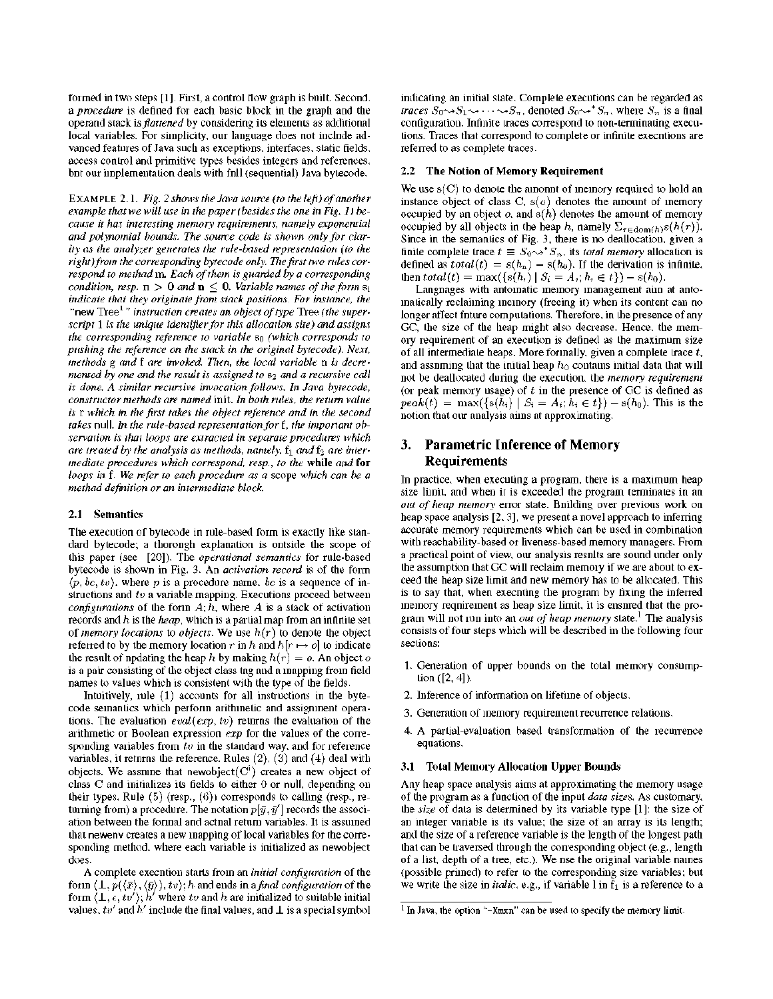formed in two steps [1]. First, a control flow graph is built. Second, a procedure is defined for each basic block in the graph and the operand stack is *flattened* by considering its elements as additional local variables. For simplicity, our language does not inclnde advanced features of Java such as exceptions, interfaces, static fields, access control and primitive types besides integers and references, but our implementation deals with full (sequential) Java bytecode.

EXAMPLE 2.1. Fig. 2 shows the Java source (to the left) of another example that we will use in the paper (besides the one in Fig. 1) because it has interesting memory requirements, namely exponential and polynomial bounds. The source code is shown only for clarity as the analyzer generates the rule-based representation (to the right) from the corresponding bytecode only. The first two rules correspond to method m. Each of them is guarded by a corresponding condition, resp.  $n > 0$  and  $n \le 0$ . Variable names of the form  $s_i$ indicate that they originate from stack positions. For instance, the "new Tree<sup>1</sup>" instruction creates an object of type Tree (the superscript 1 is the unique identifier for this allocation site) and assigns the corresponding reference to variable  $s_0$  (which corresponds to pushing the reference on the stack in the original bytecode). Next, methods g and f are invoked. Then, the local variable n is decremented by one and the result is assigned to  $s_2$  and a recursive call is done. A similar recursive invocation follows. In Java bytecode, constructor methods are named init. In both rules, the return value is r which in the first takes the object reference and in the second takes null. In the rule-based representation for f, the important observation is that loops are extracted in separate procedures which are treated by the analysis as methods, namely,  $f_1$  and  $f_2$  are intermediate procedures which correspond, resp., to the while and for loops in f. We refer to each procedure as a scope which can be a method definition or an intermediate block.

## 2.1 Semantics

The execution of bytecode in rule-based form is exactly like standard bytecode; a thorongh explanation is ontside the scope of this paper (see [20]). The operational semantics for rule-based bytecode is shown in Fig. 3. An activation record is of the form  $\langle p, bc, tv \rangle$ , where p is a procedure name, be is a sequence of instructions and  $tv$  a variable mapping. Executions proceed between configurations of the form  $A$ ; h, where A is a stack of activation records and  $h$  is the *heap*, which is a partial map from an infinite set of memory locations to objects. We use  $h(r)$  to denote the object referred to by the memory location r in h and  $h[r \mapsto o]$  to indicate the result of npdating the heap h by making  $h(r) = o$ . An object o is a pair consisting of the object class tag and a mapping from field names to values which is consistent with the type of the fields.

Intuitively, rule (1) accounts for all instructions in the bytecode semantics which perform arithmetic and assignment operations. The evaluation  $eval(exp, tv)$  returns the evaluation of the arithmetic or Boolean expression exp for the values of the corresponding variables from  $tv$  in the standard way, and for reference variables, it returns the reference. Rules  $(2)$ ,  $(3)$  and  $(4)$  deal with objects. We assnine that newobject( $C<sup>i</sup>$ ) creates a new object of class C and initializes its fields to either 0 or null, depending on their types. Rule (5) (resp., (6)) corresponds to calling (resp., returning from) a procedure. The notation  $p[\bar{y}, \bar{y}']$  records the association between the formal and actual return variables. It is assumed that newenv creates a new mapping of local variables for the corresponding method, where each variable is initialized as newobject does.

A complete execution starts from an *initial configuration* of the form  $\langle \perp, p(\langle \bar{x} \rangle, \langle \bar{y} \rangle), tv \rangle$ ; h and ends in a final configuration of the form  $\langle \perp, \epsilon, tv' \rangle$ ; h' where tv and h are initialized to suitable initial values,  $tv'$  and  $h'$  include the final values, and  $\perp$  is a special symbol indicating an initial state. Complete executions can be regarded as *traces*  $S_0 \rightarrow S_1 \rightarrow \cdots \rightarrow S_n$ , denoted  $S_0 \rightarrow^* S_n$ , where  $S_n$  is a final configuration. Infinite traces correspond to non-terminating executions. Traces that correspond to complete or infinite executions are referred to as complete traces.

#### 2.2 The Notion of Memory Requirement

We use  $s(C)$  to denote the amount of memory required to hold an instance object of class C,  $s(o)$  denotes the amount of memory occupied by an object  $o$ , and  $s(h)$  denotes the amount of memory occupied by all objects in the heap h, namely  $\Sigma_{\tau \in \text{dom}(h)}s(h(r))$ . Since in the semantics of Fig. 3, there is no deallocation, given a finite complete trace  $t \equiv S_0 \rightarrow S_n$ , its *total memory* allocation is defined as  $total(t) = s(h_n) - s(h_0)$ . If the derivation is infinite, then  $total(t) = \max({s(h_i) | S_i = A_i; h_i \in t}) - s(h_0).$ 

Langnages with antomatic memory management aim at antomatically reclaiming memory (freeing it) when its content can no longer affect future computations. Therefore, in the presence of any GC, the size of the heap might also decrease. Hence, the memory requirement of an execution is defined as the maximum size of all intermediate heaps. More formally, given a complete trace  $t$ , and assuming that the initial heap  $h_0$  contains initial data that will not be deallocated during the execution, the memory requirement (or peak memory usage) of  $t$  in the presence of GC is defined as  $peak(t) = max({s(h_i) | S_i = A_i; h_i \in t}) - s(h_0)$ . This is the notion that our analysis aims at approximating.

# 3. Parametric Inference of Memory **Requirements**

In practice, when executing a program, there is a maximum heap size limit, and when it is exceeded the program terminates in an out of heap memory error state. Building over previous work on heap space analysis [2, 3], we present a novel approach to inferring accurate memory requirements which can be used in combination with reachability-based or liveness-based memory managers. From a practical point of view, our analysis results are sound under only the assumption that GC will reclaim memory if we are about to exceed the heap size limit and new memory has to be allocated. This is to say that, when executing the program by fixing the inferred memory reqnirement as heap size limit, it is ensured that the program will not run into an *out of heap memory* state.<sup>1</sup> The analysis consists of four steps which will be described in the following four sections:

- 1. Generation of upper bounds on the total memory consumption ([2, 4]).
- 2. Inference of information on lifetime of objects.
- 3. Generation of memory requirement recurrence relations.
- 4. A partial-evaluation based transformation of the recurrence equations.

#### 3.1 Total Memory Allocation Upper Bounds

Any heap space analysis aims at approximating the memory usage of the program as a function of the input data sizes. As customary, the  $size$  of data is determined by its variable type [1]: the size of an integer variable is its value; the size of an array is its length; and the size of a reference variable is the length of the longest path that can be traversed through the corresponding object (e.g., length of a list, depth of a tree, etc.). We use the original variable names (possible primed) to refer to the corresponding size variables; but we write the size in *italic*, e.g., if variable  $l$  in  $f_1$  is a reference to a

 $<sup>1</sup>$  In Java, the option "-Xmxn" can be used to specify the memory limit.</sup>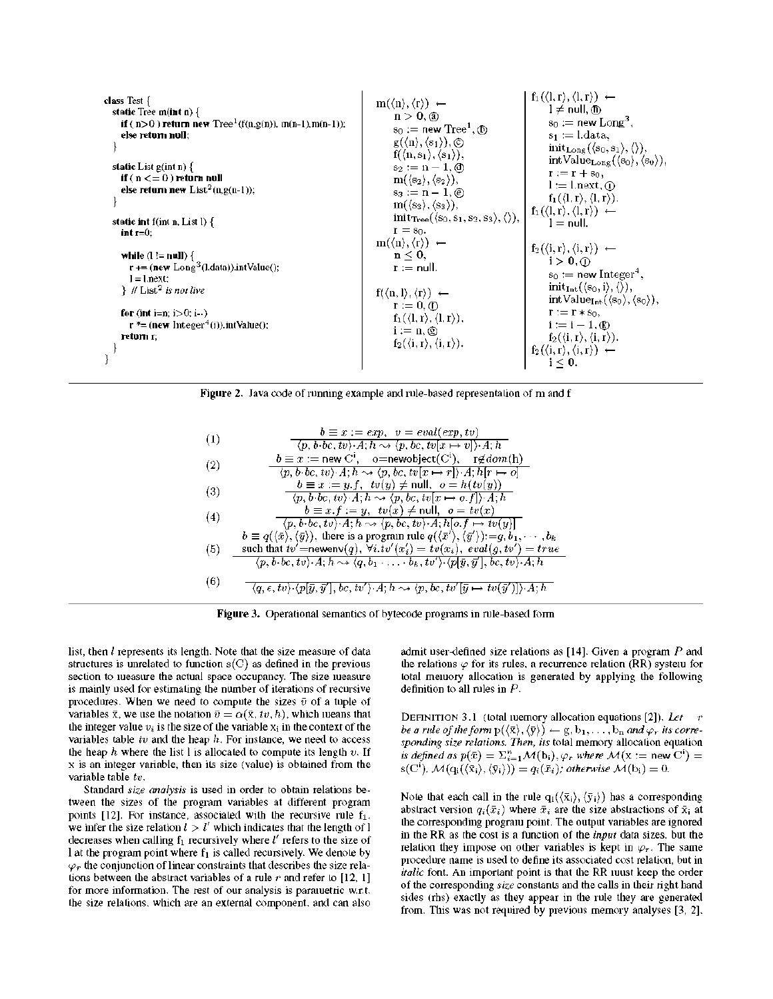| class Test {<br>static Tree $m(int n)$ {<br>if ( $n>0$ ) return new Tree <sup>1</sup> (f(n,g(n)), $m(n-1), m(n-1)$ );<br>else return null:<br>static List $g(int n)$ {<br>if ( $n \le 0$ ) return null<br>else return new List <sup>2</sup> (n, $g(n-1)$ );<br>static int f(int n, List 1) $\{$<br>int $r=0$ :<br>while $(1 := null) \nmid$<br>$r \leftarrow (new Long^3 (l.data)) \cdot intValue);$<br>$l = l$ , next:<br>$\}$ // List <sup>2</sup> is not live<br>for $(int i=n; i>0; i-)$<br>$r^*$ = (new Integer <sup>4</sup> (i)), intValue();<br>retorn r; | $m(\langle n \rangle, \langle r \rangle) \leftarrow$<br>$n > 0$ , (a)<br>$s_0 := new Tree^1, (b)$<br>$g(\langle n \rangle, \langle s_1 \rangle), \circledcirc$<br>$f(\langle n, s_1 \rangle, \langle s_1 \rangle),$<br>$s_2 := n - 1, 0$<br>$m(\langle s_2 \rangle, \langle s_2 \rangle),$<br>$s_3 := n - 1, \hat{e}$<br>$m(\langle s_3 \rangle, \langle s_3 \rangle),$<br>$init_{Tree}(\langle s_0, s_1, s_2, s_3 \rangle, \langle \rangle),$<br>$r = s_0$ .<br>$m(\langle n \rangle, \langle r \rangle) \leftarrow$<br>$n \leq 0$ ,<br>$r := \text{null}.$<br>$f(\langle n, l \rangle, \langle r \rangle) \leftarrow$<br>$r := 0, \textcircled{f}$<br>$f_1(\langle l, r \rangle, \langle l, r \rangle),$<br>$i := n$ , $\circledcirc$ | $f_1(\langle l,r \rangle, \langle l,r \rangle) \leftarrow$<br>$l \neq \text{null}, \langle \text{ft} \rangle$<br>$s_0 := new\text{Long}^3$ .<br>$s_1 :=$ l.data,<br>$init_{\text{Long}}(\langle s_0, s_1 \rangle, \langle \rangle),$<br>intValue <sub>Long</sub> ( $\langle s_0 \rangle, \langle s_0 \rangle$ ),<br>$\mathbf{r} := \mathbf{r} + \mathbf{s}_0$ ,<br>$l := l.next, \Omega$<br>$f_1(\langle l,r\rangle,\langle l,r\rangle).$<br>$f_1(\langle l,r \rangle, \langle l,r \rangle) \leftarrow$<br>$l = null$ .<br>$f_2(\langle i, r \rangle, \langle i, r \rangle) \leftarrow$<br>$i > 0, \oplus$<br>$s_0 := new Integer^4$ ,<br>$init_{Int}(\langle s_0, i \rangle, \langle \rangle),$<br>$intValue_{Int}(\langle s_0 \rangle, \langle s_0 \rangle),$<br>$\mathbf{r} := \mathbf{r} * \mathbf{s}_0$ ,<br>$i := i - 1$ . (k)<br>$f_2(\langle i, r \rangle, \langle i, r \rangle).$ |
|------------------------------------------------------------------------------------------------------------------------------------------------------------------------------------------------------------------------------------------------------------------------------------------------------------------------------------------------------------------------------------------------------------------------------------------------------------------------------------------------------------------------------------------------------------------|-----------------------------------------------------------------------------------------------------------------------------------------------------------------------------------------------------------------------------------------------------------------------------------------------------------------------------------------------------------------------------------------------------------------------------------------------------------------------------------------------------------------------------------------------------------------------------------------------------------------------------------------------------------------------------------------------------------------------------------------|--------------------------------------------------------------------------------------------------------------------------------------------------------------------------------------------------------------------------------------------------------------------------------------------------------------------------------------------------------------------------------------------------------------------------------------------------------------------------------------------------------------------------------------------------------------------------------------------------------------------------------------------------------------------------------------------------------------------------------------------------------------------------------------------------------------------------------------------------------------------------------------------|
|                                                                                                                                                                                                                                                                                                                                                                                                                                                                                                                                                                  | $f_2(\langle i, r \rangle, \langle i, r \rangle).$                                                                                                                                                                                                                                                                                                                                                                                                                                                                                                                                                                                                                                                                                      | $f_2(\langle i, r \rangle, \langle i, r \rangle) \leftarrow$<br>$i \leq 0$ .                                                                                                                                                                                                                                                                                                                                                                                                                                                                                                                                                                                                                                                                                                                                                                                                               |

Figure 2. Java code of running example and rule-based representation of m and f

|                   | $b \equiv x := exp, \ \ v = eval(exp, tv)$                                                                                                                                            |
|-------------------|---------------------------------------------------------------------------------------------------------------------------------------------------------------------------------------|
| $\left(1\right)$  | $\langle p, b \cdot b \cdot c, tv \rangle \cdot A; h \leadsto \langle p, bc, tv[x \mapsto v] \rangle \cdot A; h$                                                                      |
| (2)               | $b \equiv x := \mathsf{new} \: \mathrm{C}^i$ , o=newobject( $\mathrm{C}^i$ ), r $\not \in dom(\mathrm{h})$                                                                            |
|                   | $\langle p, b \cdot bc, tv \rangle \cdot A; h \rightsquigarrow \langle p, bc, tv[x \mapsto r] \rangle \cdot A; h[r \mapsto o]$                                                        |
| $\left(3\right)$  | $b \equiv x := y.f, \; tv(y) \neq \text{null}, \; o = h(tv(y))$                                                                                                                       |
|                   | $\langle p, b \cdot bc, tv \rangle \cdot A; h \rightsquigarrow \langle p, bc, tv[x \mapsto o.f] \rangle \cdot A; h$                                                                   |
| $\left( 4\right)$ | $b \equiv x.f := y$ , $tv(x) \neq \text{null}$ , $o = tv(x)$                                                                                                                          |
|                   | $\langle p, b \cdot bc, tv \rangle \cdot A; h \rightsquigarrow \langle p, bc, tv \rangle \cdot A; h \langle o, f \mapsto tv(y) \rangle$                                               |
|                   | $b \equiv q(\langle \bar{x} \rangle, \langle \bar{y} \rangle)$ , there is a program rule $q(\langle \bar{x}' \rangle, \langle \bar{y}' \rangle) := g, b_1, \cdots, b_k$               |
| (5)               | such that $tv' = newenv(q)$ , $\forall i. tv'(x'_i) = tv(x_i)$ , $eval(g, tv') = true$                                                                                                |
|                   | $\langle p, b \cdot bc, tv \rangle \cdot A; h \sim \langle q, b_1, \ldots, b_k, tv' \rangle \cdot \langle p[\bar{y}, \bar{y}'], bc, tv \rangle \cdot A; h$                            |
| (6)               |                                                                                                                                                                                       |
|                   | $\langle q, \epsilon, tv \rangle \cdot \langle p[\bar{y}, \bar{y}'], bc, tv' \rangle \cdot A; h \rightsquigarrow \langle p, bc, tv'[\bar{y} \mapsto tv(\bar{y}')] \rangle \cdot A; h$ |
|                   |                                                                                                                                                                                       |

Figure 3. Operational semantics of bytecode programs in rule-based form

list, then  $l$  represents its length. Note that the size measure of data structures is unrelated to function s(C) as defined in the previous section to measure the actual space occupancy. The size measure is mainly used for estimating the number of iterations of recursive procedures. When we need to compute the sizes  $\bar{v}$  of a tuple of variables  $\bar{x}$ , we use the notation  $\bar{v} = \alpha(\bar{x}, tv, h)$ , which means that the integer value  $v_i$  is the size of the variable  $x_i$  in the context of the variables table tv and the heap  $h$ . For instance, we need to access the heap h where the list 1 is allocated to compute its length  $v$ . If x is an integer variable, then its size (value) is obtained from the variable table tv.

Standard size analysis is used in order to obtain relations between the sizes of the program variables at different program points [12]. For instance, associated with the recursive rule  $f_1$ , we infer the size relation  $l > l'$  which indicates that the length of 1 decreases when calling  $f_1$  recursively where  $l'$  refers to the size of 1 at the program point where  $f_1$  is called recursively. We denote by  $\varphi_r$  the conjunction of linear constraints that describes the size relations between the abstract variables of a rule  $r$  and refer to [12, 1] for more information. The rest of our analysis is parametric w.r.t. the size relations, which are an external component, and can also admit user-defined size relations as [14]. Given a program P and the relations  $\varphi$  for its rules, a recurrence relation (RR) system for total memory allocation is generated by applying the following definition to all rules in P.

DEFINITION 3.1 (total number of allocation equations [2]). Let  $r$ be a rule of the form  $p(\langle \bar{x} \rangle, \langle \bar{y} \rangle) \leftarrow g, b_1, \ldots, b_n$  and  $\varphi_r$  its corresponding size relations. Then, its total memory allocation equation is defined as  $p(\bar{x}) = \sum_{i=1}^{n} M(b_i), \varphi_r$  where  $M(x := new C^i) =$  $s(C^i)$ ,  $\mathcal{M}(q_i(\langle \bar{x}_i \rangle, \langle \bar{y}_i \rangle)) = q_i(\bar{x}_i)$ ; otherwise  $\mathcal{M}(b_i) = 0$ .

Note that each call in the rule  $q_i(\langle \bar{x}_i \rangle, \langle \bar{y}_i \rangle)$  has a corresponding abstract version  $q_i(\bar{x}_i)$  where  $\bar{x}_i$  are the size abstractions of  $\bar{x}_i$  at the corresponding program point. The output variables are ignored in the RR as the cost is a function of the *input* data sizes, but the relation they impose on other variables is kept in  $\varphi_r$ . The same procedure name is used to define its associated cost relation, but in italic font. An important point is that the RR must keep the order of the corresponding  $size$  constants and the calls in their right hand sides (rhs) exactly as they appear in the rule they are generated from. This was not required by previous memory analyses [3, 2],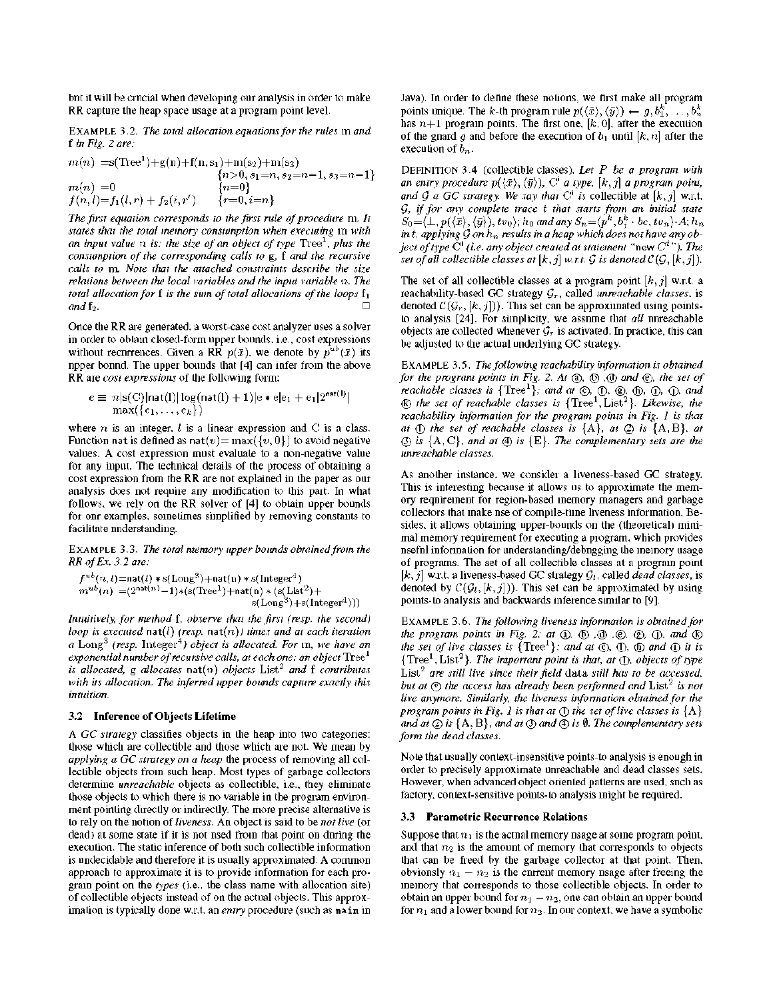but it will be crucial when developing our analysis in order to make RR capture the heap space usage at a program point level.

EXAMPLE 3.2. The total allocation equations for the rules  $m$  and f in Fig. 2 are:

$$
m(n) = s(\text{Tree}^1) + g(n) + f(n, s_1) + m(s_2) + m(s_3)
$$
  
\n
$$
\{n>0, s_1=n, s_2=n-1, s_3=n-1\}
$$
  
\n
$$
m(n) = 0 \qquad \{n=0\}
$$
  
\n
$$
f(n, l) = f_1(l, r) + f_2(i, r') \qquad \{r=0, i=n\}
$$

The first equation corresponds to the first rule of procedure m. It states that the total memory consumption when executing in with an input value n is: the size of an object of type  $Tree<sup>1</sup>$ , plus the consumption of the corresponding calls to g, f and the recursive calls to m. Note that the attached constraints describe the size relations between the local variables and the input variable n. The total allocation for  $f$  is the sum of total allocations of the loops  $f_1$ and  $f_2$ .

Once the RR are generated, a worst-case cost analyzer uses a solver in order to obtain closed-form upper bounds, i.e., cost expressions without recommences. Given a RR  $p(\bar{x})$ , we denote by  $p^{u b}(\bar{x})$  its npper bonnd. The upper bounds that [4] can infer from the above RR are *cost expressions* of the following form:

$$
e \equiv n|s(C)|nat(l)|\log(nat(l) + 1)|e * e|e_1 + e_1|2^{nat(l)}|
$$
  
max({ $\{e_1, ..., e_k\}$ })

where  $n$  is an integer,  $l$  is a linear expression and C is a class. Function nat is defined as nat(v) =  $max({v, 0})$  to avoid negative values. A cost expression must evaluate to a non-negative value for any input. The technical details of the process of obtaining a cost expression from the RR are not explained in the paper as our analysis does not require any modification to this part. In what follows, we rely on the RR solver of [4] to obtain upper bounds for onr examples, sometimes simplified by removing constants to facilitate nnderstanding.

EXAMPLE 3.3. The total memory upper bounds obtained from the RR of Ex. 3.2 are:

$$
\begin{array}{l} f^{ub}(n,l) {=} \mathsf{nat}(l) * \mathsf{s}(\mathsf{Long}^3) {+} \mathsf{nat}(n) * \mathsf{s}(\mathsf{Integer}^4) \\ m^{ub}(n) = \!\! (2^{\mathsf{nat}(n)} {-} 1) {\mathsf{*}}(\mathsf{s}(\mathsf{Tree}^1) {+} \mathsf{nat}(n) * (\mathsf{s}(\mathsf{List}^2) {+} \\ \hspace{1cm} \mathsf{s}(\mathsf{Long}^3) {+} \mathsf{s}(\mathsf{Integer}^4))) \end{array}
$$

Intuitively, for method f, observe that the first (resp. the second) loop is executed nat(l) (resp. nat(n)) times and at each iteration a Long<sup>3</sup> (resp. Integer<sup>4</sup>) object is allocated. For m, we have an exponential number of recursive calls, at each one: an object  $Tree<sup>1</sup>$ is allocated, g allocates nat(n) objects List<sup>2</sup> and f contributes with its allocation. The inferred upper bounds capture exactly this intuition.

#### 3.2 Inference of Objects Lifetime

A GC strategy classifies objects in the heap into two categories: those which are collectible and those which are not. We mean by applying a GC strategy on a heap the process of removing all collectible objects from such heap. Most types of garbage collectors determine unreachable objects as collectible, i.e., they eliminate those objects to which there is no variable in the program environment pointing directly or indirectly. The more precise alternative is to rely on the notion of liveness. An object is said to be not live (or dead) at some state if it is not nsed from that point on during the execution. The static inference of both such collectible information is undecidable and therefore it is usually approximated. A common approach to approximate it is to provide information for each program point on the  $types$  (i.e., the class name with allocation site) of collectible objects instead of on the actual objects. This approximation is typically done w.r.t. an entry procedure (such as main in Java). In order to define these notions, we first make all program points unique. The k-th program rule  $p(\langle \bar{x} \rangle, \langle \bar{y} \rangle) \leftarrow g, b_1^k, \ldots, b_n^k$ has  $n+1$  program points. The first one,  $[k, 0]$ , after the execution of the gnard g and before the execution of  $b_1$  until  $[k, n]$  after the execution of  $b_n$ .

DEFINITION 3.4 (collectible classes). Let  $P$  be a program with an entry procedure  $p(\langle \bar{x} \rangle, \langle \bar{y} \rangle)$ , C<sup>i</sup> a type, [k, j] a program point, and G a GC strategy. We say that  $C^i$  is collectible at  $[k, j]$  w.r.t. Q, if for any complete trace t that starts from an initial state  $S_0 = \langle \perp, p(\langle \bar{x} \rangle, \langle \bar{y} \rangle), tv_0 \rangle$ ;  $h_0$  and any  $S_n = \langle p^k, b_j^k \cdot bc, tv_n \rangle \cdot A; h_n$ in t, applying  $G$  on  $h_n$  results in a heap which does not have any object of type  $\mathbf{C}^i$  (i.e. any object created at statement "new  $C^{i}$ "). The set of all collectible classes at  $[k,j]$  w.r.t.  $\mathcal G$  is denoted  $\mathcal C(\mathcal G, [k,j])$ .

The set of all collectible classes at a program point  $[k, j]$  w.r.t. a reachability-based GC strategy  $G_r$ , called *unreachable classes*, is denoted  $\mathcal{C}(\mathcal{G}_r, [k, j])$ . This set can be approximated using pointsto analysis  $[24]$ . For simplicity, we assume that all nureachable objects are collected whenever  $\mathcal{G}_{\tau}$  is activated. In practice, this can be adjusted to the actual underlying GC strategy.

EXAMPLE 3.5. The following reachability information is obtained for the program points in Fig. 2. At  $(a)$ ,  $(b)$ ,  $(d)$  and  $(e)$ , the set of reachable classes is  $\{Tree^1\}$ ; and at  $\oslash$ ,  $\oslash$ ,  $\oslash$ ,  $\oslash$ ,  $\oslash$ ,  $\oslash$ , and  $\circledR$  the set of reachable classes is {Tree<sup>1</sup>, List<sup>2</sup>}. Likewise, the reachability information for the program points in Fig. 1 is that at  $\oplus$  the set of reachable classes is  $\{A\}$ , at  $\oslash$  is  $\{A, B\}$ , at  $\circled{S}$  is {A, C}, and at  $\circled{S}$  is {E}. The complementary sets are the unreachable classes.

As another instance, we consider a liveness-based GC strategy. This is interesting because it allows us to approximate the memory requirement for region-based memory managers and garbage collectors that make nse of compile-time liveness information. Besides, it allows obtaining upper-bounds on the (theoretical) minimal memory requirement for executing a program, which provides nseful information for understanding/debugging the memory usage of programs. The set of all collectible classes at a program point  $[k, j]$  w.r.t. a liveness-based GC strategy  $\mathcal{G}_l$ , called *dead classes*, is denoted by  $C(G_i, [k, j])$ . This set can be approximated by using points-to analysis and backwards inference similar to [9].

EXAMPLE 3.6. The following liveness information is obtained for the program points in Fig. 2: at  $\circled{a}$ ,  $\circled{b}$ ,  $\circled{d}$ ,  $\circled{e}$ ,  $\circled{p}$ , and  $\circled{b}$ the set of live classes is  $\{Tree^1\}$ : and at  $\circled{c}$ ,  $\circled{D}$ ,  $\circled{D}$  and  $\circled{D}$  it is  ${Tree<sup>1</sup>, List<sup>2</sup>}.$  The important point is that, at  $\circledD$ , objects of type  $List<sup>2</sup>$  are still live since their field data still has to be accessed, but at  $\odot$  the access has already been performed and  $List^2$  is not live anymore. Similarly, the liveness information obtained for the program points in Fig. 1 is that at  $\bigcirc$  the set of live classes is  $\{A\}$ and at  $\oslash$  is  ${A, B}$ , and at  $\oslash$  and  $\oslash$  is  $\emptyset$ . The complementary sets form the dead classes.

Note that usually context-insensitive points-to analysis is enough in order to precisely approximate unreachable and dead classes sets. However, when advanced object oriented patterns are used, such as factory, context-sensitive points-to analysis might be required.

#### 3.3 Parametric Recurrence Relations

Suppose that  $n_1$  is the actual memory usage at some program point, and that  $n_2$  is the amount of memory that corresponds to objects that can be freed by the garbage collector at that point. Then, obviously  $n_1 - n_2$  is the current memory usage after freeing the memory that corresponds to those collectible objects. In order to obtain an upper bound for  $n_1 - n_2$ , one can obtain an upper bound for  $n_1$  and a lower bound for  $n_2$ . In our context, we have a symbolic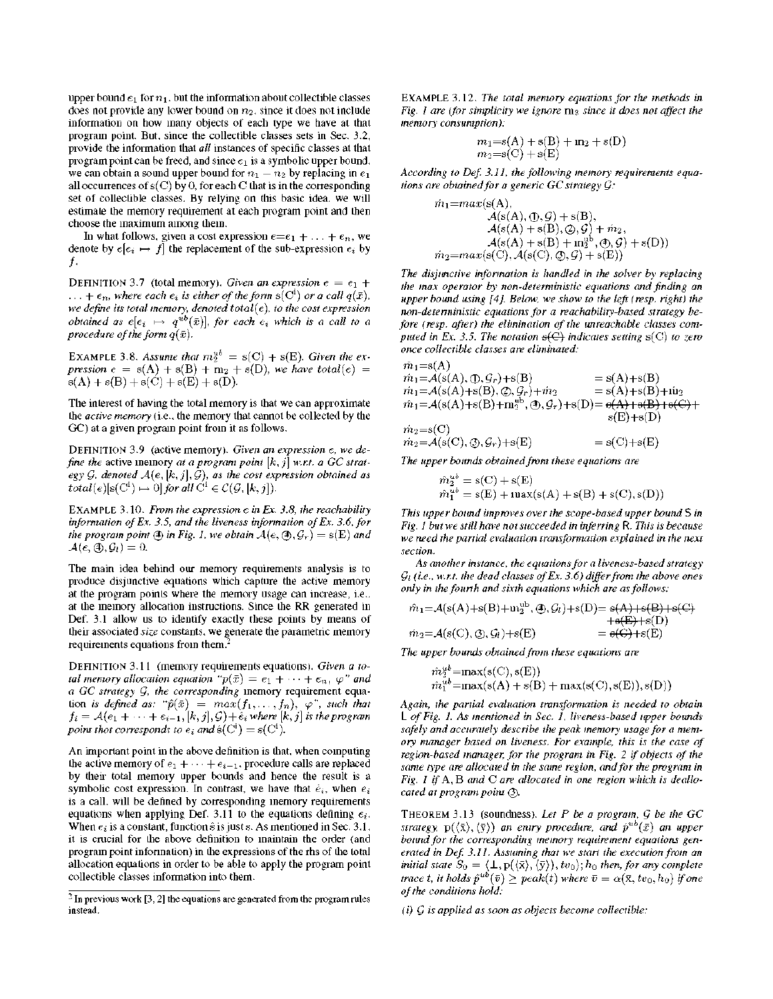upper bound  $\epsilon_1$  for  $n_1$ , but the information about collectible classes does not provide any lower bound on  $n_2$ , since it does not include information on how many objects of each type we have at that program point. But, since the collectible classes sets in Sec. 3.2, provide the information that all instances of specific classes at that program point can be freed, and since  $\epsilon_1$  is a symbolic upper bound, we can obtain a sound upper bound for  $n_1 - n_2$  by replacing in  $e_1$ all occurrences of  $s(C)$  by 0, for each C that is in the corresponding set of collectible classes. By relying on this basic idea, we will estimate the memory requirement at each program point and then choose the maximum among them.

In what follows, given a cost expression  $e=e_1 + \ldots + e_n$ , we denote by  $\epsilon[\epsilon_i \mapsto f]$  the replacement of the sub-expression  $\epsilon_i$  by **/**.

DEFINITION 3.7 (total memory). Given an expression  $e = e_1 +$ ... +  $e_n$ , where each  $e_i$  is either of the form  $s(C^i)$  or a call  $q(\bar{x})$ , we define its total memory, denoted  $total(e)$ , to the cost expression obtained as  $e[e_i] \mapsto q^{ab}(\bar{x})$ , for each  $e_i$  which is a call to a procedure of the form  $q(\bar{x})$ .

EXAMPLE 3.8. Assume that  $m_2^{ub} = s(C) + s(E)$ . Given the expression  $e = s(A) + s(B) + m<sub>2</sub> + s(D)$ , we have total(e) =  $s(A) + s(B) + s(\dot{C}) + s(\dot{E}) + s(D).$ 

The interest of having the total memory is that we can approximate the active memory (i.e., the memory that cannot be collected by the GC) at a given program point from it as follows.

DEFINITION 3.9 (active memory). Given an expression  $\epsilon$ , we define the active memory at a program point  $[k, j]$  w.r.t. a GC strategy G, denoted  $A(e, [k,j], \mathcal{G})$ , as the cost expression obtained as  $total(e)[s(C^i) \mapsto 0]$  for all  $C^i \in \mathcal{C}(\mathcal{G}, [k, j]).$ 

EXAMPLE 3.10. From the expression  $\epsilon$  in Ex. 3.8, the reachability information of Ex. 3.5, and the liveness information of Ex. 3.6, for the program point  $\bigoplus$  in Fig. 1, we obtain  $A(e, \bigoplus, \mathcal{G}_r) = s(E)$  and  $\mathcal{A}(\epsilon, \mathcal{A}), \mathcal{G}_l$ ) = 0.

The main idea behind our memory requirements analysis is to produce disjunctive equations which capture the active memory at the program points where the memory usage can increase, i.e., at the memory allocation instructions. Since the RR generated in Def. 3.1 allow us to identify exactly these points by means of their associated size constants, we generate the parametric memory requirements equations from them.<sup>2</sup>

DEFINITION 3.11 (memory requirements equations). Given a total memory allocation equation " $p(\bar{x}) = e_1 + \cdots + e_n$ ,  $\varphi$ " and a GC strategy Q, the corresponding memory requirement equation is defined as:  $"\hat{p}(\bar{x}) = max(f_1, ..., f_n), \varphi",$  such that  $f_i = A(e_1 + \cdots + e_{i-1}, [k, j], \mathcal{G}) + \hat{e}_i$  where  $[k, j]$  is the program point that corresponds to  $e_i$  and  $\acute{\text{s}}(\mathrm{C}^i) = \mathrm{s}(\mathrm{C}^i)$ .

An important point in the above definition is that, when computing the active memory of  $e_1 + \cdots + e_{i-1}$ , procedure calls are replaced by their total memory upper bounds and hence the result is a symbolic cost expression. In contrast, we have that  $\dot{e}_i$ , when  $e_i$ is a call, will be defined by corresponding memory requirements equations when applying Def. 3.11 to the equations defining  $\epsilon_i$ . When  $e_i$  is a constant, function  $\hat{s}$  is just s. As mentioned in Sec. 3.1, it is crucial for the above definition to maintain the order (and program point information) in the expressions of the rhs of the total allocation equations in order to be able to apply the program point collectible classes information into them.

EXAMPLE 3.12. The total memory equations for the methods in Fig. 1 are (for simplicity we ignore  $m_3$  since it does not affect the memory consumption):

$$
m_1 = s(A) + s(B) + m_2 + s(D)
$$
  

$$
m_2 = s(C) + s(E)
$$

According to Def. 3.11, the following memory requirements equations are obtained for a generic GC strategy Q:

$$
m_1 = max(s(A),\mathcal{A}(s(A), \mathcal{D}, \mathcal{G}) + s(B),\mathcal{A}(s(A) + s(B), \mathcal{Q}, \mathcal{G}) + m_2,\mathcal{A}(s(A) + s(B) + m_2^{ab}, \mathcal{Q}, \mathcal{G}) + s(D))\n m_2 = max(s(C), \mathcal{A}(s(C), \mathcal{Q}, \mathcal{G}) + s(E))
$$

The disjunctive information is handled in the solver by replacing the max operator by non-deterministic equations and finding an upper bound using [4]. Below, we show to the left (resp. right) the non-deterministic equations for a reachability-based strategy before (resp. after) the elimination of the unreachable classes computed in Ex. 3.5. The notation  $\mathfrak{S}(\mathbb{C})$  indicates setting  $\mathfrak{S}(\mathbb{C})$  to zero once collectible classes are eliminated:

$$
\begin{array}{ll}\n\hat{m}_1 = s(A) &= s(A) + s(B) \\
\hat{m}_1 = \mathcal{A}(s(A), \mathbb{O}, \mathcal{G}_r) + s(B) &= s(A) + s(B) \\
\hat{m}_1 = \mathcal{A}(s(A) + s(B), \mathbb{O}, \mathcal{G}_r) + \hat{m}_2 &= s(A) + s(B) + i\hat{u}_2 \\
\hat{m}_1 = \mathcal{A}(s(A) + s(B) + m_2^{ab}, \mathbb{O}, \mathbb{G}_r) + s(D) = \frac{\Theta(A) + \Theta(B) + \Theta(C)}{s(B) + s(D)} + \frac{\Theta(C)}{s(B)}\n\end{array}
$$

$$
m_2 = s(U)
$$
  
\n
$$
m_2 = \mathcal{A}(s(C), \mathcal{Q}, \mathcal{G}_r) + s(E)
$$
  
\n
$$
= s(C) + s(E)
$$

The upper bounds obtained from these equations are

$$
\hat{m}_2^{u_0} = s(C) + s(E)
$$
  
\n
$$
\hat{m}_1^{u_0} = s(E) + \max(s(A) + s(B) + s(C), s(D))
$$

This upper bound improves over the scope-based upper bound S in Fig. 1 but we still have not succeeded in inferring R. This is because we need the partial evaluation transformation explained in the next section.

As another instance, the equations for a liveness-based strategy  $\mathcal{G}_l$  (i.e., w.r.t. the dead classes of Ex. 3.6) differ from the above ones only in the fourth and sixth equations which are as follows:

$$
\hat{m}_1 = \mathcal{A}(s(A) + s(B) + m_2^{ub}, \bigoplus, \mathcal{G}_t) + s(D) = s(A) + s(B) + s(C)
$$
\n
$$
\hat{m}_2 = \mathcal{A}(s(C), \bigoplus, \mathcal{G}_t) + s(E) = s(C) + s(E)
$$
\n
$$
= s(C) + s(E)
$$

The upper bounds obtained from these equations are

$$
\hat{m}_2^{ub} = \max(s(C), s(E)) \n\hat{m}_1^{ub} = \max(s(A) + s(B) + \max(s(C), s(E)), s(D))
$$

Again, the partial evaluation transformation is needed to obtain L of Fig. 1. As mentioned in Sec. 1, liveness-based upper bounds safely and accurately describe the peak memory usage for a memory manager based on liveness. For example, this is the case of region-based manager, for the program in Fig. 2 if objects of the same type are allocated in the same region, and for the program in Fig. 1 if  $A, B$  and  $C$  are allocated in one region which is deallocated at program point (3).

THEOREM 3.13 (soundness). Let P be a program,  $G$  be the GC strategy,  $p(\langle \bar{x} \rangle, \langle \bar{y} \rangle)$  an entry procedure, and  $\hat{p}^{ub}(\bar{x})$  an upper bound for the corresponding memory requirement equations generated in Def. 3.11. Assuming that we start the execution from an *initial state*  $S_0 = \langle \perp, p(\langle \bar{x} \rangle, \langle \bar{y} \rangle), tv_0 \rangle$ ; *h<sub>o</sub>* then, for any complete trace t, it holds  $\hat{p}^{ub}(\bar{v}) \geq peak(t)$  where  $\bar{v} = \alpha(\bar{x}, tv_0, h_0)$  if one of the conditions hold:

(i)  $G$  is applied as soon as objects become collectible;

 $^2$  In previous work [3, 2] the equations are generated from the program rules  $^2$ instead.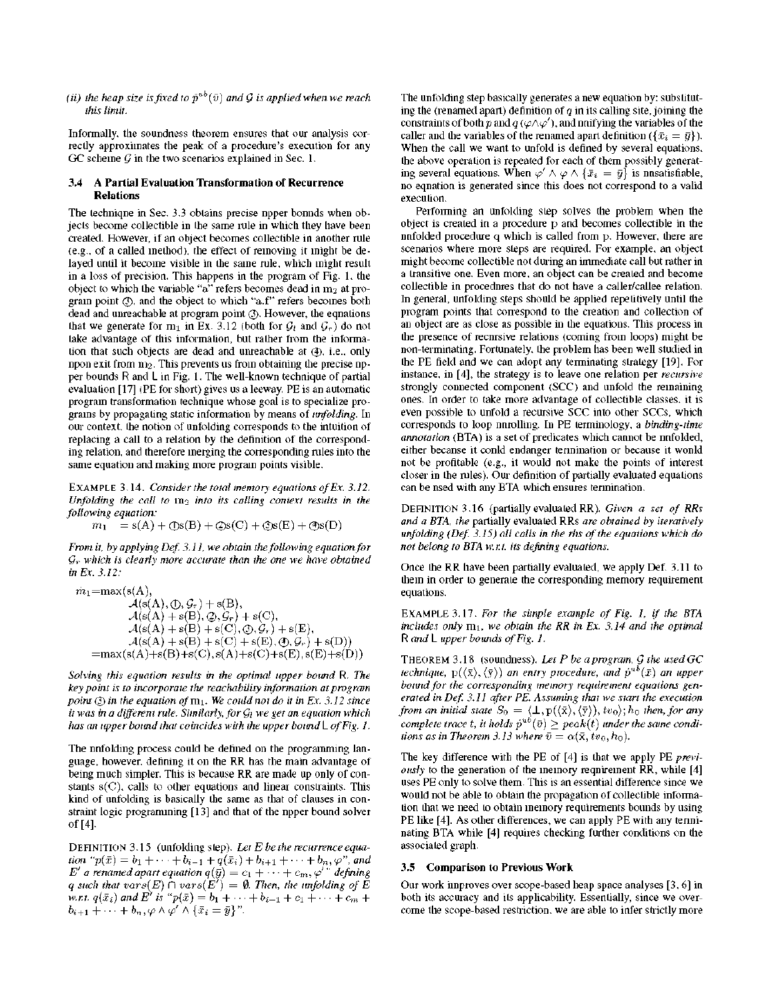(ii) the heap size is fixed to  $\hat{p}^{ub}(\bar{v})$  and  $\mathcal G$  is applied when we reach this limit.

Informally, the soundness theorem ensures that our analysis correctly approximates the peak of a procedure's execution for any GC scheme  $G$  in the two scenarios explained in Sec. 1.

#### 3.4 A Partial Evaluation Transformation of Recurrence Relations

The technique in Sec. 3.3 obtains precise upper bounds when objects become collectible in the same rule in which they have been created. However, if an object becomes collectible in another rule (e.g., of a called method), the effect of removing it might be delayed until it become visible in the same rule, which might result in a loss of precision. This happens in the program of Fig. 1, the object to which the variable "a" refers becomes dead in  $m_2$  at program point (3), and the object to which "a.f" refers becomes both dead and unreachable at program point  $\circledS$ . However, the eqnations that we generate for  $m_1$  in Ex. 3.12 (both for  $\mathcal{G}_t$  and  $\mathcal{G}_r$ ) do not take advantage of this information, but rather from the information that such objects are dead and unreachable at @, i.e., only npon exit from  $m_2$ . This prevents us from obtaining the precise npper bounds R and L in Fig. 1. The well-known technique of partial evaluation [17] (PE for short) gives us a leeway. PE is an automatic program transformation technique whose goal is to specialize programs by propagating static information by means of unfolding. In our context, the notion of unfolding corresponds to the intuition of replacing a call to a relation by the definition of the corresponding relation, and therefore merging the corresponding rules into the same equation and making more program points visible.

EXAMPLE 3.14. Consider the total memory equations of Ex. 3.12. Unfolding the call to  $m_2$  into its calling context results in the following equation:

 $m_1$  = s(A) +  $\mathbb{O}\text{s(B)} + \mathbb{O}\text{s(C)} + \mathbb{O}\text{s(E)} + \mathbb{O}\text{s(D)}$ 

From it, by applying Def.  $3.11$ , we obtain the following equation for  $\mathcal{G}_r$  which is clearly more accurate than the one we have obtained in Ex. 3.12:

$$
\begin{array}{ll}\n m_1 = & \max(s(A), \\
 \mathcal{A}(s(A), \mathcal{O}, \mathcal{G}_r) + s(B), \\
 \mathcal{A}(s(A) + s(B), \mathcal{O}, \mathcal{G}_r) + s(C), \\
 \mathcal{A}(s(A) + s(B) + s(C), \mathcal{O}, \mathcal{G}_r) + s(E), \\
 \mathcal{A}(s(A) + s(B) + s(C) + s(E), \mathcal{O}, \mathcal{G}_r) + s(D)) \\
 = & \max(s(A) + s(B) + s(C), s(A) + s(C) + s(E), s(E) + s(D))\n \end{array}
$$

Solving this equation results in the optimal upper bound R. The key point is to incorporate the reachability information at program point  $\circled{3}$  in the equation of  $m_1$ . We could not do it in Ex. 3.12 since it was in a different rule. Similarly, for  $\mathcal{G}_l$  we get an equation which has an upper bound that coincides with the upper bound L of Fig. 1.

The nnfolding process could be defined on the programming language, however, defining it on the RR has the main advantage of being much simpler. This is because RR are made up only of constants s(C), calls to other equations and linear constraints. This kind of unfolding is basically the same as that of clauses in constraint logic programming [13] and that of the npper bound solver of [4].

DEFINITION 3.15 (unfolding step). Let E be the recurrence equation " $p(\bar{x}) = b_1 + \cdots + b_{i-1} + q(\bar{x}_i) + b_{i+1} + \cdots + b_n, \varphi$ ", and  $E'$  a renamed apart equation  $q(\bar{y}) = c_1 + \cdots + c_m$ ,  $\varphi'$   $\tilde{z}$  defining q such that  $vars(E) \cap vars(E') = \emptyset$ . Then, the unfolding of E w.r.t.  $q(\bar{x}_i)$  and  $E'$  is " $p(\bar{x}) = b_1 + \cdots + b_{i-1} + c_1 + \cdots + c_m + \cdots$  $b_{i+1} + \cdots + b_n, \varphi \wedge \varphi' \wedge {\bar{x}_i = \bar{y}}$ ".

The unfolding step basically generates a new equation by: substituting the (renamed apart) definition of  $q$  in its calling site, joining the constraints of both p and  $q(\varphi \land \varphi')$ , and nnifying the variables of the caller and the variables of the renamed apart definition ( $\{\bar{x}_i = \bar{y}\}\$ ). When the call we want to unfold is defined by several equations, the above operation is repeated for each of them possibly generating several equations. When  $\varphi' \wedge \varphi \wedge {\{\bar{x}_i = \bar{y}\}}$  is nnsatisfiable, no equation is generated since this does not correspond to a valid execution.

Performing an unfolding step solves the problem when the object is created in a procedure  $p$  and becomes collectible in the unfolded procedure q which is called from p. However, there are scenarios where more steps are required. For example, an object might become collectible not during an immediate call but rather in a transitive one. Even more, an object can be created and become collectible in procedures that do not have a caller/callee relation. In general, unfolding steps should be applied repetitively until the program points that correspond to the creation and collection of an object are as close as possible in the equations. This process in the presence of recursive relations (coming from loops) might be non-terminating. Fortunately, the problem has been well studied in the PE field and we can adopt any terminating strategy [19]. For instance, in [4], the strategy is to leave one relation per recursive strongly connected component (SCC) and unfold the remaining ones. In order to take more advantage of collectible classes, it is even possible to unfold a recursive SCC into other SCCs, which corresponds to loop nnrolling. In PE terminology, a binding-time annotation (BTA) is a set of predicates which cannot be nnfolded, either becanse it conld endanger termination or because it wonld not be profitable (e.g., it would not make the points of interest closer in the rules). Our definition of partially evaluated equations can be nsed with any BTA which ensures termination.

DEFINITION 3.16 (partially evaluated RR). Given a set of RRs and a BTA, the partially evaluated RRs are obtained by iteratively unfolding (Def. 3.15) all calls in the rhs of the equations which do not belong to BTA w.r.t. its defining equations.

Once the RR have been partially evaluated, we apply Def. 3.11 to them in order to generate the corresponding memory requirement equations.

EXAMPLE 3.17. For the simple example of Fig. 1, if the BTA includes only  $m_1$ , we obtain the RR in Ex. 3.14 and the optimal R and L upper bounds of Fig. 1.

THEOREM 3.18 (soundness). Let P be a program,  $G$  the used GC technique,  $p(\langle \bar{x} \rangle, \langle \bar{y} \rangle)$  an entry procedure, and  $\hat{p}^{ab}(\bar{x})$  an upper bound for the corresponding memory requirement equations generated in Def. 3.11 after PE. Assuming that we start the execution from an initial state  $S_0 = \langle \perp, p(\langle \bar{x} \rangle, \langle \bar{y} \rangle), tv_0 \rangle; h_0$  then, for any complete trace t, it holds  $\hat{p}^{ub}(\bar{v}) \geq peak(t)$  under the same conditions as in Theorem 3.13 where  $\bar{v} = \alpha(\bar{x}, tw_0, h_0)$ .

The key difference with the PE of  $[4]$  is that we apply PE previ $ously$  to the generation of the memory requirement RR, while  $[4]$ uses PE only to solve them. This is an essential difference since we would not be able to obtain the propagation of collectible information that we need to obtain memory requirements bounds by using PE like [4]. As other differences, we can apply PE with any terminating BTA while [4] requires checking further conditions on the associated graph.

#### 3.5 Comparison to Previous Work

Our work improves over scope-based heap space analyses [3, 6] in both its accuracy and its applicability. Essentially, since we overcome the scope-based restriction, we are able to infer strictly more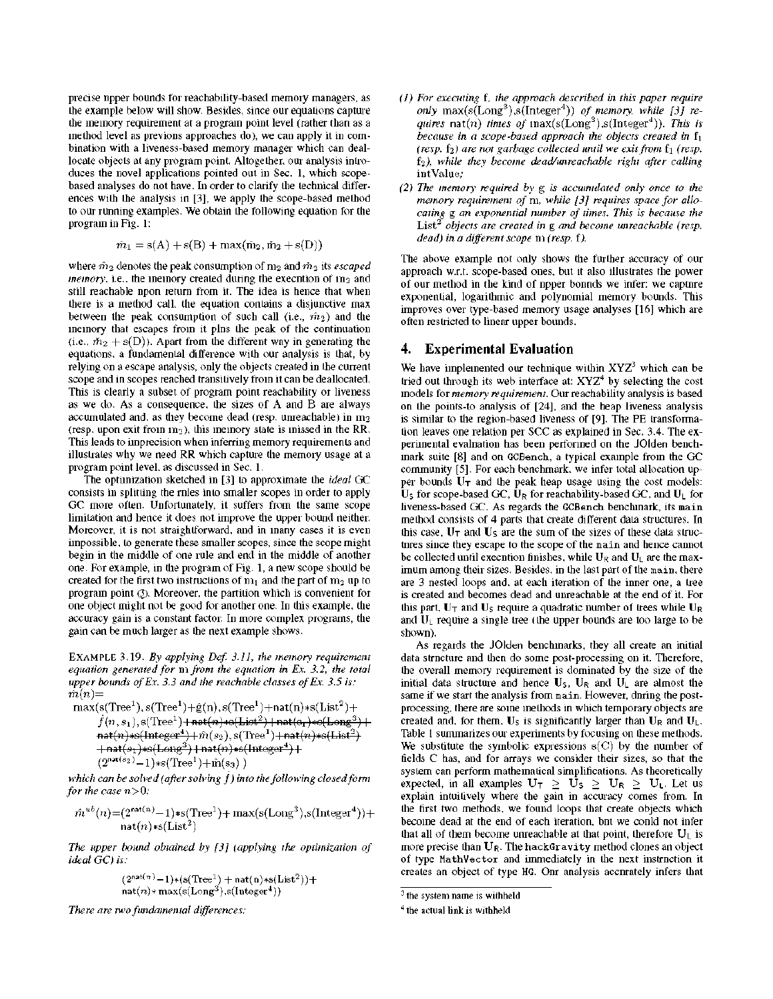precise upper bounds for reachability-based memory managers, as the example below will show. Besides, since our equations capture the memory requirement at a program point level (rather than as a method level as previons approaches do), we can apply it in combination with a liveness-based memory manager which can deallocate objects at any program point. Altogether, our analysis introduces the novel applications pointed out in Sec. 1, which scopebased analyses do not have. In order to clarify the technical differences with the analysis in [3], we apply the scope-based method to our running examples. We obtain the following equation for the program in Fig. 1:

$$
\hat{m}_1 = s(A) + s(B) + \max(\hat{m}_2, \hat{m}_2 + s(D))
$$

where  $\hat{m}_2$  denotes the peak consumption of  $m_2$  and  $\hat{m}_2$  its *escaped memory*, i.e., the memory created during the execution of  $m<sub>2</sub>$  and still reachable npon return from it. The idea is hence that when there is a method call, the equation contains a disjunctive max between the peak consumption of such call (i.e.,  $\hat{m}_2$ ) and the memory that escapes from it plns the peak of the continuation (i.e.,  $m_2 + s(D)$ ). Apart from the different way in generating the equations, a fundamental difference with our analysis is that, by relying on a escape analysis, only the objects created in the current scope and in scopes reached transitively from it can be deallocated. This is clearly a subset of program point reachability or liveness as we do. As a consequence, the sizes of A and B are always accumulated and, as they become dead (resp. unreachable) in  $m_2$ (resp. upon exit from  $m_2$ ), this memory state is missed in the RR. This leads to imprecision when inferring memory requirements and illustrates why we need RR which capture the memory usage at a program point level, as discussed in Sec. 1.

The optimization sketched in [3] to approximate the *ideal* GC consists in splitting the rules into smaller scopes in order to apply GC more often. Unfortunately, it suffers from the same scope limitation and hence it does not improve the upper bound neither. Moreover, it is not straightforward, and in many cases it is even impossible, to generate these smaller scopes, since the scope might begin in the middle of one rule and end in the middle of another one. For example, in the program of Fig. 1, a new scope should be created for the first two instructions of  $m_1$  and the part of  $m_2$  up to program point (3). Moreover, the partition which is convenient for one object might not be good for another one. In this example, the accuracy gain is a constant factor. In more complex programs, the gain can be much larger as the next example shows.

EXAMPLE 3.19. By applying Def. 3.11, the memory requirement *equation generated for m from the equation in Ex. 3.2, the total upper bounds of Ex. 3.3 and the reachable classes of Ex. 3.5 is:*   $\hat{m}(n)$ =

 $\max(\rm s(Tree^1),\rm s(Tree^1) {+\hat g}(n),\rm s(Tree^1) {+\small\textrm{nat}(n) {*\bf s}(List^2)} {+\cal g}(n))$  $\overline{f}(n,s_1),$  s( $\text{Tree}^1)$  + nat $(\overline{n})$ \*o( $\text{List}^2)$  + nat $(\overline{\mathfrak{o}_1})$ \*o( $\text{Long}^3)$  +  $\mathsf{nat}(n) * \mathsf{s}(\text{Integer}^4) + \hat{m}(s_2), \mathsf{s}(\text{Tree}^1) + \mathsf{nat}(n) * \mathsf{s}(\text{List}^2)$  $\vdash \mathsf{nat}(s_1) {\ast} \mathsf{s}(\mathsf{Long}^3) + \mathsf{nat}(n) {\ast} \mathsf{s}(\mathsf{Integer}^4) + \cdots$  $(2^{nst(s_2)}-1)$ \*s $(Tree^1)$ +m̂(s3))

*which can be solved (after solving f) into the following closed form for the case n>0:* 

$$
\hat{m}^{ub}(n) = (2^{\text{nat}(n)} - 1) * s(\text{Tree}^1) + \max(s(\text{Long}^3), s(\text{Integer}^4)) +
$$
  
nat(*n*) \*s(\text{List}^2)

*The upper bound obtained by [3] (applying the optimization of ideal GC) is:* 

$$
(2^{nat(n)}-1)*(s(Tree^1) + nat(n)*s(List^2)) +nat(n)*max(s(Long^3),s(Integer^4))
$$

*There are two fundamental differences:* 

- (1) For executing f, the approach described in this paper require only  $\max(s(\text{Long}^3), s(\text{Integer}^4))$  of memory, while [3] requires nat(n) times of  $\max(\mathrm{s}(\mathrm{Long}^3), \mathrm{s}(\mathrm{Integer}^4))$ . This is because in a scope-based approach the objects created in  $f_1$ (resp.  $f_2$ ) are not garbage collected until we exit from  $f_1$  (resp.  $f<sub>2</sub>$ ), while they become dead/unreachable right after calling intValue;
- (2) The memory required by  $g$  is accumulated only once to the memory requirement of m, while [3] requires space for allocating g an exponential number of times. This is because the List<sup>2</sup> objects are created in g and become unreachable (resp. dead) in a different scope m (resp. f).

The above example not only shows the further accuracy of our approach w.r.t. scope-based ones, but it also illustrates the power of our method in the kind of upper bounds we infer: we capture exponential, logarithmic and polynomial memory bounds. This improves over type-based memory usage analyses [16] which are often restricted to linear upper bounds.

## 4. Experimental Evaluation

We have implemented our technique within  $XYZ^3$  which can be tried out through its web interface at:  $XYZ^4$  by selecting the cost models for memory requirement. Our reachability analysis is based on the points-to analysis of [24], and the heap liveness analysis is similar to the region-based liveness of [9]. The PE transformation leaves one relation per SCC as explained in Sec. 3.4. The experimental evalnation has been performed on the JOlden benchmark suite [8] and on GCBench, a typical example from the GC community [5]. For each benchmark, we infer total allocation upper bounds  $U_T$  and the peak heap usage using the cost models:  $\mathbf{U}_\mathsf{S}$  for scope-based GC,  $\mathbf{U}_\mathsf{R}$  for reachability-based GC, and  $\mathbf{U}_\mathsf{L}$  for liveness-based GC. As regards the GCBench benchmark, its main method consists of 4 parts that create different data structures. In this case,  $U_T$  and  $U_S$  are the sum of the sizes of these data structhe they escape to the scope of the main and hence cannot be collected until execution finishes, while  $U_R$  and  $U_L$  are the maximum among their sizes. Besides, in the last part of the main, there are 3 nested loops and, at each iteration of the inner one, a tree is created and becomes dead and unreachable at the end of it. For this part,  $U_T$  and  $U_S$  require a quadratic number of trees while  $U_R$ and  $U_L$  require a single tree (the upper bounds are too large to be shown).

As regards the JOlden benchmarks, they all create an initial data structure and then do some post-processing on it. Therefore, the overall memory requirement is dominated by the size of the initial data structure and hence  $U_5$ ,  $U_R$  and  $U_L$  are almost the same if we start the analysis from main. However, during the postprocessing, there are some methods in which temporary objects are created and, for them,  $U_S$  is significantly larger than  $U_R$  and  $U_L$ . Table 1 summarizes our experiments by focusing on these methods. We substitute the symbolic expressions  $s(C)$  by the number of fields C has, and for arrays we consider their sizes, so that the system can perform mathematical simplifications. As theoretically expected, in all examples  $U_T \geq U_s \geq U_R \geq U_l$ . Let us explain intuitively where the gain in accuracy comes from. In the first two methods, we found loops that create objects which become dead at the end of each iteration, bnt we conld not infer that all of them become unreachable at that point, therefore  $U_1$  is more precise than  $U_R$ . The hackGravity method clones an object of type MathVector and immediately in the next instruction it creates an object of type HG. Our analysis accurately infers that

 $^3$  the system name is withheld

<sup>&</sup>lt;sup>4</sup> the actual link is withheld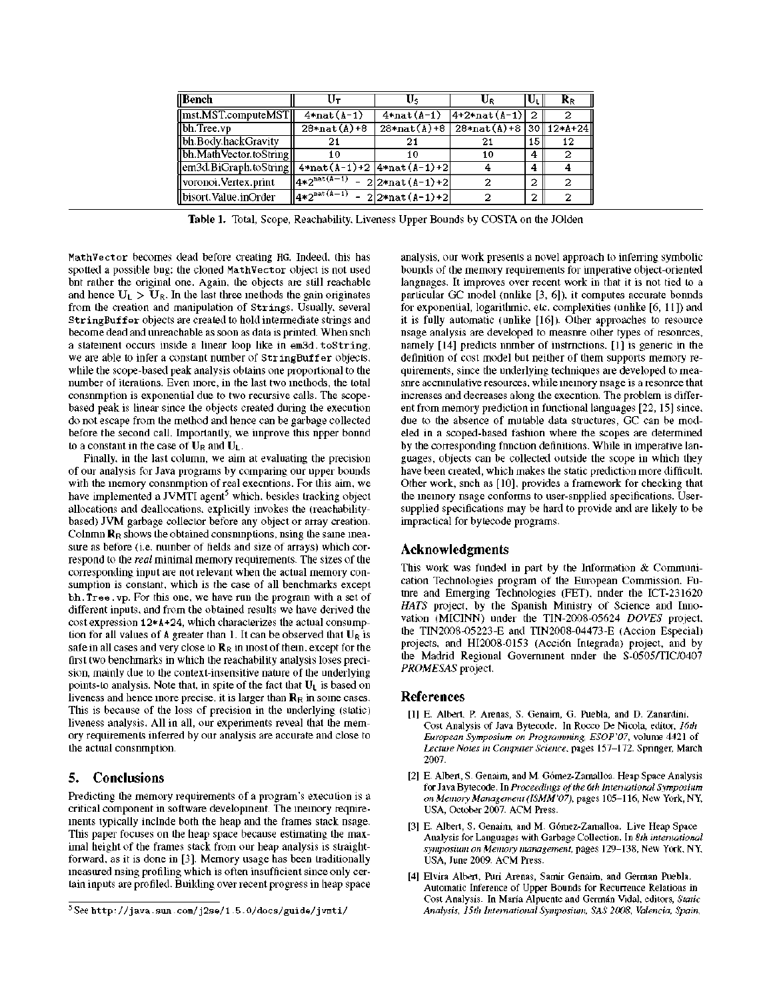| <b>Bench</b>                                                            | Uт                                        | U۹               | UR                    | IU∟            | $\mathbf{R}_{\mathsf{R}}$ |
|-------------------------------------------------------------------------|-------------------------------------------|------------------|-----------------------|----------------|---------------------------|
| $\left\langle \right\rangle$ mst.MST.computeMST $\left\  \right\rangle$ | $4*nat(A-1)$                              | $4*nat(A-1)$     | $ 4+2*$ nat $(A-1) 2$ |                | 2                         |
| $I$ bh.Tree.vp                                                          | $28*nat(A)+8$                             | $28*nat(A)+8$    | $28*nat(A)+8$         |                | 30  12*A+24               |
| bh.Body.hackGravity                                                     | 21                                        | 21               | 21                    | 15             | 12                        |
| [bh.MathVector.toString]                                                | 10                                        | 10               | 10                    | 4              | 2                         |
| em3d.BiGraph.toString                                                   | $4*nat(A-1)+2  4*nat(A-1)+2 $             |                  |                       | 4              |                           |
| voronoi. Vertex.print                                                   | $4*2^{nat(A-1)}$                          | - 2 2*nat(A-1)+2 | 2                     | $\overline{2}$ | 2                         |
| bisort. Value.inOrder                                                   | $\sqrt{4*2^{nat(A-1)} - 2 2*nat(A-1)}$ +2 |                  |                       | 2              | 2                         |

Table 1. Total, Scope, Reachability, Liveness Upper Bounds by COSTA on the JOlden

MathVector becomes dead before creating HG. Indeed, this has spotted a possible bug: the cloned MathVector object is not used but rather the original one. Again, the objects are still reachable and hence  $U_L > U_R$ . In the last three methods the gain originates from the creation and manipulation of Strings. Usually, several StringBuffer objects are created to hold intermediate strings and become dead and unreachable as soon as data is printed. When such a statement occurs inside a linear loop like in em3d.toString, we are able to infer a constant number of StringBuffer objects, while the scope-based peak analysis obtains one proportional to the number of iterations. Even more, in the last two methods, the total consumption is exponential due to two recursive calls. The scopebased peak is linear since the objects created during the execution do not escape from the method and hence can be garbage collected before the second call. Importantly, we improve this npper bonnd to a constant in the case of  $\mathbf{U}_R$  and  $\mathbf{U}_L$ .

Finally, in the last column, we aim at evaluating the precision of our analysis for Java programs by comparing our upper bounds with the memory consumption of real executions. For this aim, we have implemented a JVMTI agent<sup>5</sup> which, besides tracking object allocations and deallocations, explicitly invokes the (reachabilitybased) JVM garbage collector before any object or array creation. Column  $\mathbf{R}_R$  shows the obtained consumptions, using the same measure as before (i.e. number of fields and size of arrays) which correspond to the *real* minimal memory requirements. The sizes of the corresponding input are not relevant when the actual memory consumption is constant, which is the case of all benchmarks except bh.Tree.vp. For this one, we have run the program with a set of different inputs, and from the obtained results we have derived the cost expression 12\*A+24, which characterizes the actual consumption for all values of A greater than 1. It can be observed that  $\mathbf{U}_R$  is safe in all cases and very close to  $\mathbf{R}_{\text{R}}$  in most of them, except for the first two benchmarks in which the reachability analysis loses precision, mainly due to the context-insensitive nature of the underlying points-to analysis. Note that, in spite of the fact that  $U_L$  is based on liveness and hence more precise, it is larger than  $\mathbf{R}_{\text{R}}$  in some cases. This is because of the loss of precision in the underlying (static) liveness analysis. All in all, our experiments reveal that the memory requirements inferred by our analysis are accurate and close to the actual consumption.

# 5. Conclusions

Predicting the memory requirements of a program's execution is a critical component in software development. The memory requirements typically inclnde both the heap and the frames stack nsage. This paper focuses on the heap space because estimating the maximal height of the frames stack from our heap analysis is straightforward, as it is done in [3]. Memory usage has been traditionally measured nsing profiling which is often insufficient since only certain inputs are profiled. Building over recent progress in heap space analysis, our work presents a novel approach to inferring symbolic bounds of the memory requirements for imperative object-oriented languages. It improves over recent work in that it is not tied to a particular GC model (nnlike [3, 6]), it computes accurate bonnds for exponential, logarithmic, etc. complexities (unlike [6, 11]) and it is fully automatic (unlike [16]). Other approaches to resource usage analysis are developed to measure other types of resources, namely [14] predicts number of instructions, [1] is generic in the definition of cost model but neither of them supports memory requirements, since the underlying techniques are developed to measnre accninulative resources, while inemory nsage is a resonrce that increases and decreases along the execution. The problem is different from memory prediction in functional languages [22, 15] since, due to the absence of mutable data structures, GC can be modeled in a scoped-based fashion where the scopes are determined by the corresponding function definitions. While in imperative languages, objects can be collected outside the scope in which they have been created, which makes the static prediction more difficult. Other work, snch as [10], provides a framework for checking that the memory nsage conforms to user-snpplied specifications. Usersupplied specifications may be hard to provide and are likely to be impractical for bytecode programs.

#### Acknowledgments

This work was funded in part by the Information & Communication Technologies program of the European Commission, Futnre and Emerging Technologies (FET), nnder the ICT-231620 HATS project, by the Spanish Ministry of Science and Innovation (MICINN) under the TIN-2008-05624 DOVES project, the TIN2008-05223-E and TIN2008-04473-E (Accion Especial) projects, and HI2008-0153 (Acción Integrada) project, and by the Madrid Regional Government nnder the S-0505/TIC/0407 PROMESAS project.

#### References

- [1] E. Albert, P. Arenas, S. Genaim, G. Puebla, and D. Zanardini. Cost Analysis of Java Bytecode. In Rocco De Nicola, editor, 16th European Symposium on Programming, ESOP'07, volume 4421 of Lecture Notes in Computer Science, pages 157–172. Springer, March 2007.
- [2] E. Albert, S. Genaim, and M. Gómez-Zamalloa. Heap Space Analysis for Java Bytecode. In Proceedings of the 6th International Symposium on Memory Management (ISMM'07), pages 105–116, New York, NY, USA, October 2007. ACM Press.
- [3] E. Albert, S. Genaim, and M. Gómez-Zamalloa. Live Heap Space Analysis for Languages with Garbage Collection. In 8th international symposium on Memory management, pages 129–138, New York, NY, USA, June 2009. ACM Press.
- [4] Elvira Albert, Puri Arenas, Samir Genaim, and German Puebla. Automatic Inference of Upper Bounds for Recurrence Relations in Cost Analysis. In María Alpuente and Germán Vidal, editors, Static Analysis, 15th International Symposium, SAS 2008, Valencia, Spain,

 $^5$ See<http://java.sun.com/j2se/1.5.0/docs/guide/jvmti/> $^5$